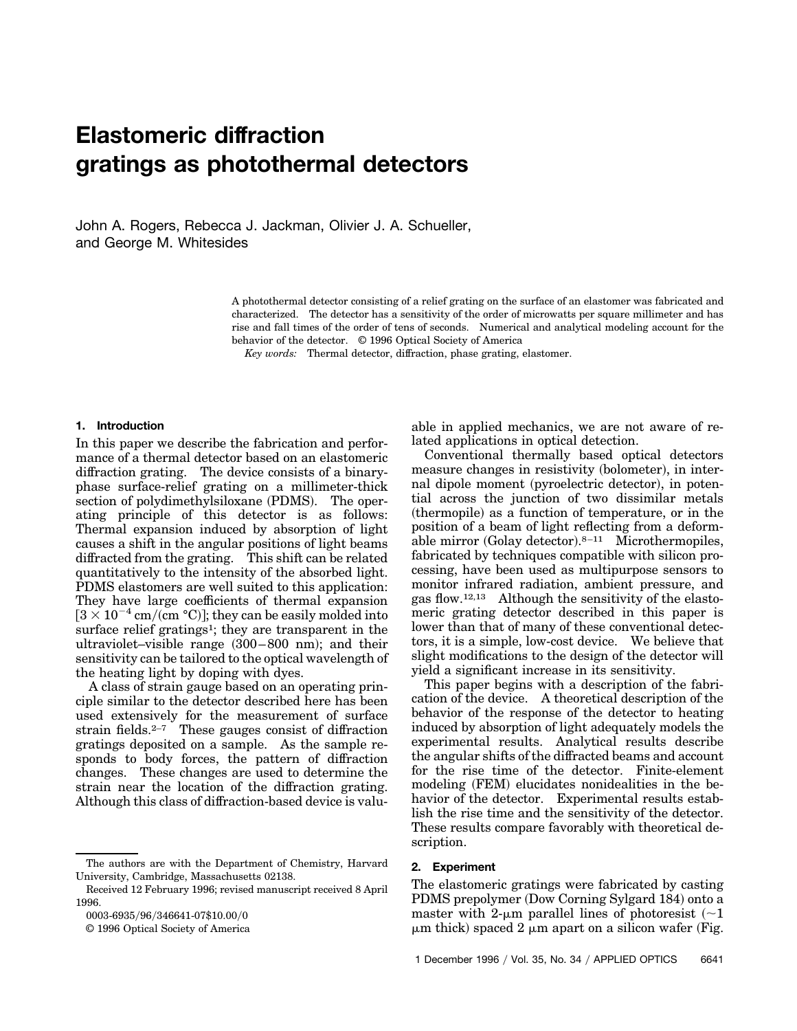# **Elastomeric diffraction gratings as photothermal detectors**

John A. Rogers, Rebecca J. Jackman, Olivier J. A. Schueller, and George M. Whitesides

> A photothermal detector consisting of a relief grating on the surface of an elastomer was fabricated and characterized. The detector has a sensitivity of the order of microwatts per square millimeter and has rise and fall times of the order of tens of seconds. Numerical and analytical modeling account for the behavior of the detector. © 1996 Optical Society of America

*Key words:* Thermal detector, diffraction, phase grating, elastomer.

#### **1. Introduction**

In this paper we describe the fabrication and performance of a thermal detector based on an elastomeric diffraction grating. The device consists of a binaryphase surface-relief grating on a millimeter-thick section of polydimethylsiloxane (PDMS). The operating principle of this detector is as follows: Thermal expansion induced by absorption of light causes a shift in the angular positions of light beams diffracted from the grating. This shift can be related quantitatively to the intensity of the absorbed light. PDMS elastomers are well suited to this application: They have large coefficients of thermal expansion  $[3 \times 10^{-4}$  cm/(cm °C)]; they can be easily molded into surface relief gratings<sup>1</sup>; they are transparent in the ultraviolet–visible range  $(300-800)$  nm); and their sensitivity can be tailored to the optical wavelength of the heating light by doping with dyes.

A class of strain gauge based on an operating principle similar to the detector described here has been used extensively for the measurement of surface strain fields. $2-7$  These gauges consist of diffraction gratings deposited on a sample. As the sample responds to body forces, the pattern of diffraction changes. These changes are used to determine the strain near the location of the diffraction grating. Although this class of diffraction-based device is valu-

The authors are with the Department of Chemistry, Harvard University, Cambridge, Massachusetts 02138.

able in applied mechanics, we are not aware of related applications in optical detection.

Conventional thermally based optical detectors measure changes in resistivity (bolometer), in internal dipole moment (pyroelectric detector), in potential across the junction of two dissimilar metals (thermopile) as a function of temperature, or in the position of a beam of light reflecting from a deformable mirror  $(Golay detector).<sup>8-11</sup>$  Microthermopiles, fabricated by techniques compatible with silicon processing, have been used as multipurpose sensors to monitor infrared radiation, ambient pressure, and gas flow.12,13 Although the sensitivity of the elastomeric grating detector described in this paper is lower than that of many of these conventional detectors, it is a simple, low-cost device. We believe that slight modifications to the design of the detector will yield a significant increase in its sensitivity.

This paper begins with a description of the fabrication of the device. A theoretical description of the behavior of the response of the detector to heating induced by absorption of light adequately models the experimental results. Analytical results describe the angular shifts of the diffracted beams and account for the rise time of the detector. Finite-element modeling (FEM) elucidates nonidealities in the behavior of the detector. Experimental results establish the rise time and the sensitivity of the detector. These results compare favorably with theoretical description.

## **2. Experiment**

The elastomeric gratings were fabricated by casting PDMS prepolymer (Dow Corning Sylgard 184) onto a master with 2- $\mu$ m parallel lines of photoresist (~1)  $\mu$ m thick) spaced 2  $\mu$ m apart on a silicon wafer (Fig.

Received 12 February 1996; revised manuscript received 8 April 1996.

<sup>0003-6935/96/346641-07\$10.00/0</sup> 

<sup>© 1996</sup> Optical Society of America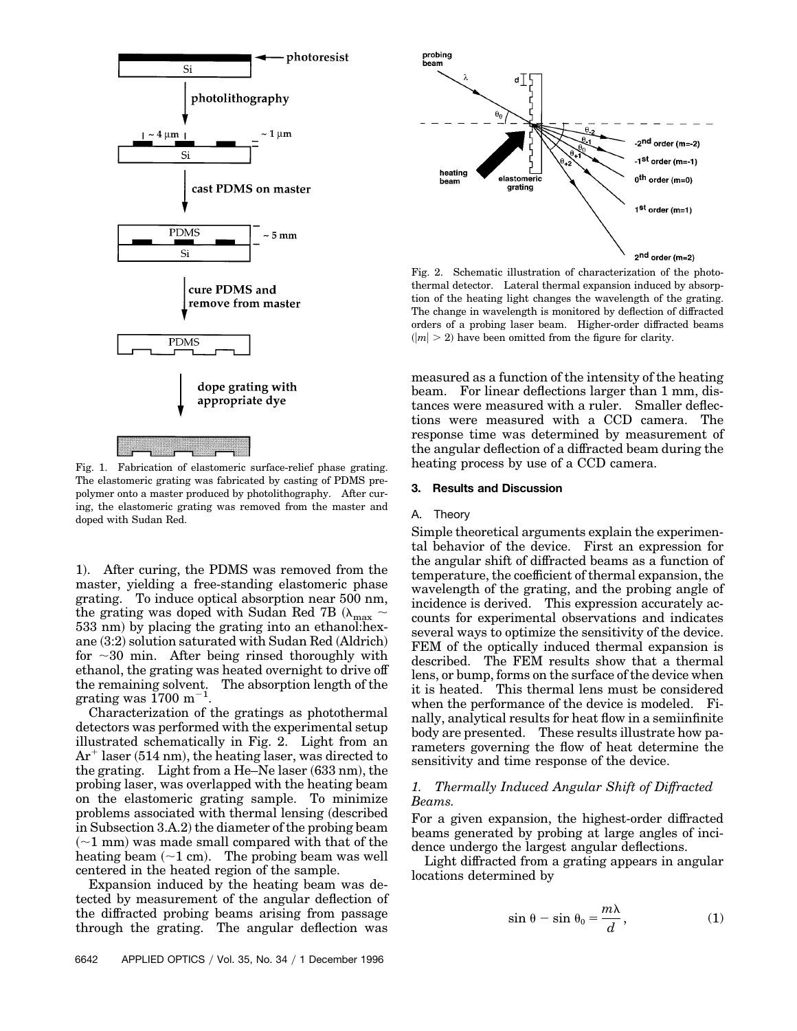

Fig. 1. Fabrication of elastomeric surface-relief phase grating. The elastomeric grating was fabricated by casting of PDMS prepolymer onto a master produced by photolithography. After curing, the elastomeric grating was removed from the master and doped with Sudan Red.

1). After curing, the PDMS was removed from the master, yielding a free-standing elastomeric phase grating. To induce optical absorption near 500 nm, the grating was doped with Sudan Red 7B ( $\lambda_{\text{max}}$  ~ 533 nm) by placing the grating into an ethanol: hexane  $(3:2)$  solution saturated with Sudan Red  $(Aldrich)$ for  $\sim$ 30 min. After being rinsed thoroughly with ethanol, the grating was heated overnight to drive off the remaining solvent. The absorption length of the grating was  $1700 \text{ m}^{-1}$ .

Characterization of the gratings as photothermal detectors was performed with the experimental setup illustrated schematically in Fig. 2. Light from an  $Ar^+$  laser (514 nm), the heating laser, was directed to the grating. Light from a He–Ne laser  $(633 \text{ nm})$ , the probing laser, was overlapped with the heating beam on the elastomeric grating sample. To minimize problems associated with thermal lensing (described in Subsection  $3.A.2$ ) the diameter of the probing beam  $(-1)$  mm was made small compared with that of the heating beam  $(\sim 1 \text{ cm})$ . The probing beam was well centered in the heated region of the sample.

Expansion induced by the heating beam was detected by measurement of the angular deflection of the diffracted probing beams arising from passage through the grating. The angular deflection was



Fig. 2. Schematic illustration of characterization of the photothermal detector. Lateral thermal expansion induced by absorption of the heating light changes the wavelength of the grating. The change in wavelength is monitored by deflection of diffracted orders of a probing laser beam. Higher-order diffracted beams  $(|m| > 2)$  have been omitted from the figure for clarity.

measured as a function of the intensity of the heating beam. For linear deflections larger than 1 mm, distances were measured with a ruler. Smaller deflections were measured with a CCD camera. The response time was determined by measurement of the angular deflection of a diffracted beam during the heating process by use of a CCD camera.

#### **3. Results and Discussion**

#### A. Theory

Simple theoretical arguments explain the experimental behavior of the device. First an expression for the angular shift of diffracted beams as a function of temperature, the coefficient of thermal expansion, the wavelength of the grating, and the probing angle of incidence is derived. This expression accurately accounts for experimental observations and indicates several ways to optimize the sensitivity of the device. FEM of the optically induced thermal expansion is described. The FEM results show that a thermal lens, or bump, forms on the surface of the device when it is heated. This thermal lens must be considered when the performance of the device is modeled. Finally, analytical results for heat flow in a semiinfinite body are presented. These results illustrate how parameters governing the flow of heat determine the sensitivity and time response of the device.

# *1. Thermally Induced Angular Shift of Diffracted Beams.*

For a given expansion, the highest-order diffracted beams generated by probing at large angles of incidence undergo the largest angular deflections.

Light diffracted from a grating appears in angular locations determined by

$$
\sin \theta - \sin \theta_0 = \frac{m\lambda}{d},\qquad(1)
$$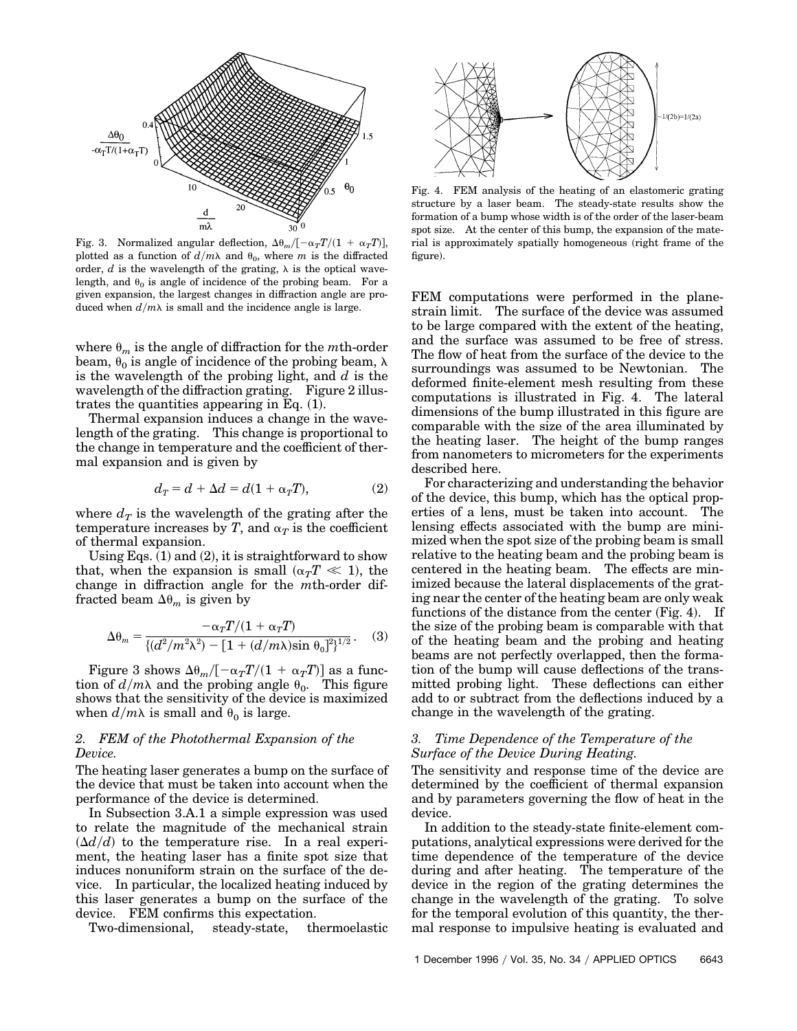

Fig. 3. Normalized angular deflection,  $\Delta\theta_m/[-\alpha_T T/(1 + \alpha_T T)],$ plotted as a function of  $d/m\lambda$  and  $\theta_0$ , where *m* is the diffracted order,  $d$  is the wavelength of the grating,  $\lambda$  is the optical wavelength, and  $\theta_0$  is angle of incidence of the probing beam. For a given expansion, the largest changes in diffraction angle are produced when  $d/m\lambda$  is small and the incidence angle is large.

where  $\theta_m$  is the angle of diffraction for the *m*th-order beam,  $\theta_0$  is angle of incidence of the probing beam,  $\lambda$ is the wavelength of the probing light, and *d* is the wavelength of the diffraction grating. Figure 2 illustrates the quantities appearing in Eq.  $(1)$ .

Thermal expansion induces a change in the wavelength of the grating. This change is proportional to the change in temperature and the coefficient of thermal expansion and is given by

$$
d_T = d + \Delta d = d(1 + \alpha_T T), \tag{2}
$$

where  $d_T$  is the wavelength of the grating after the temperature increases by *T*, and  $\alpha_T$  is the coefficient of thermal expansion.

Using Eqs.  $(1)$  and  $(2)$ , it is straightforward to show that, when the expansion is small  $(\alpha_T T \ll 1)$ , the change in diffraction angle for the *m*th-order diffracted beam  $\Delta\theta_m$  is given by

$$
\Delta \theta_m = \frac{-\alpha_T T/(1 + \alpha_T T)}{\{(d^2/m^2 \lambda^2) - [1 + (d/m\lambda)\sin \theta_0]^2\}^{1/2}}.
$$
 (3)

Figure 3 shows  $\Delta\theta_m/[-\alpha_TT/(1 + \alpha_TT)]$  as a function of  $d/m\lambda$  and the probing angle  $\theta_0$ . This figure shows that the sensitivity of the device is maximized when  $d/m\lambda$  is small and  $\theta_0$  is large.

# *2. FEM of the Photothermal Expansion of the Device.*

The heating laser generates a bump on the surface of the device that must be taken into account when the performance of the device is determined.

In Subsection 3.A.1 a simple expression was used to relate the magnitude of the mechanical strain  $(\Delta d/d)$  to the temperature rise. In a real experiment, the heating laser has a finite spot size that induces nonuniform strain on the surface of the device. In particular, the localized heating induced by this laser generates a bump on the surface of the device. FEM confirms this expectation.

Two-dimensional, steady-state, thermoelastic



Fig. 4. FEM analysis of the heating of an elastomeric grating structure by a laser beam. The steady-state results show the formation of a bump whose width is of the order of the laser-beam spot size. At the center of this bump, the expansion of the material is approximately spatially homogeneous (right frame of the figure).

FEM computations were performed in the planestrain limit. The surface of the device was assumed to be large compared with the extent of the heating, and the surface was assumed to be free of stress. The flow of heat from the surface of the device to the surroundings was assumed to be Newtonian. The deformed finite-element mesh resulting from these computations is illustrated in Fig. 4. The lateral dimensions of the bump illustrated in this figure are comparable with the size of the area illuminated by the heating laser. The height of the bump ranges from nanometers to micrometers for the experiments described here.

For characterizing and understanding the behavior of the device, this bump, which has the optical properties of a lens, must be taken into account. The lensing effects associated with the bump are minimized when the spot size of the probing beam is small relative to the heating beam and the probing beam is centered in the heating beam. The effects are minimized because the lateral displacements of the grating near the center of the heating beam are only weak functions of the distance from the center  $(Fig. 4)$ . If the size of the probing beam is comparable with that of the heating beam and the probing and heating beams are not perfectly overlapped, then the formation of the bump will cause deflections of the transmitted probing light. These deflections can either add to or subtract from the deflections induced by a change in the wavelength of the grating.

# *3. Time Dependence of the Temperature of the Surface of the Device During Heating.*

The sensitivity and response time of the device are determined by the coefficient of thermal expansion and by parameters governing the flow of heat in the device.

In addition to the steady-state finite-element computations, analytical expressions were derived for the time dependence of the temperature of the device during and after heating. The temperature of the device in the region of the grating determines the change in the wavelength of the grating. To solve for the temporal evolution of this quantity, the thermal response to impulsive heating is evaluated and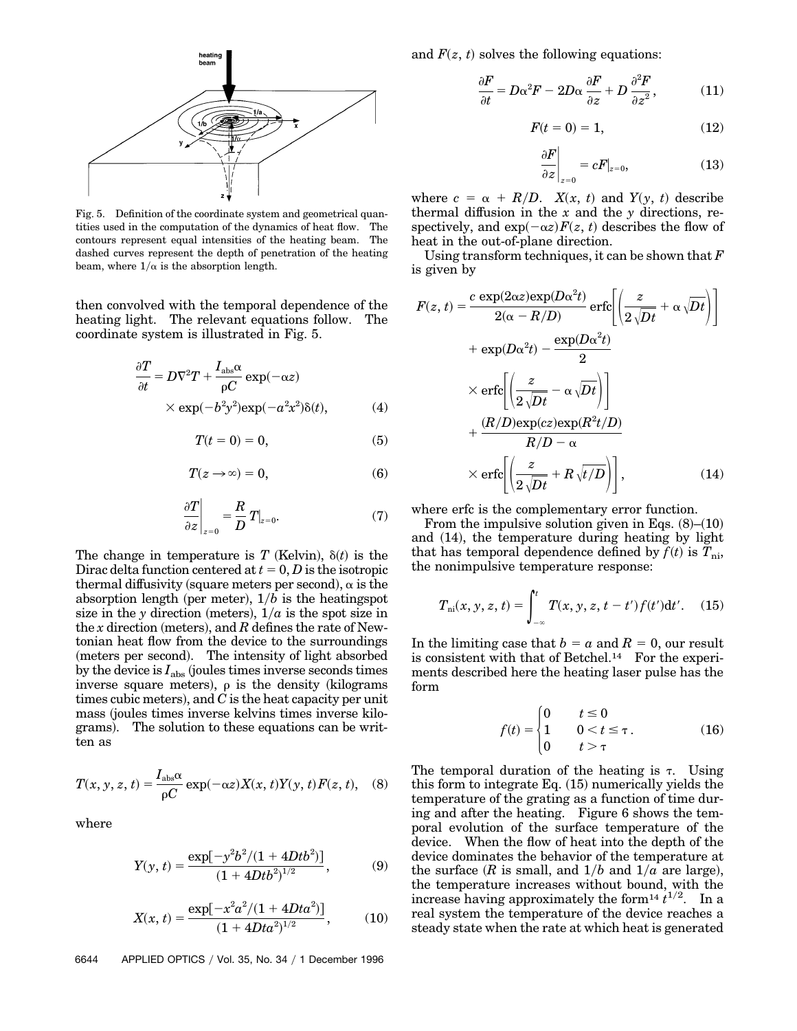

Fig. 5. Definition of the coordinate system and geometrical quantities used in the computation of the dynamics of heat flow. The contours represent equal intensities of the heating beam. The dashed curves represent the depth of penetration of the heating beam, where  $1/\alpha$  is the absorption length.

then convolved with the temporal dependence of the heating light. The relevant equations follow. The coordinate system is illustrated in Fig. 5.

$$
\frac{\partial T}{\partial t} = D\nabla^2 T + \frac{I_{\text{abs}}\alpha}{\rho C} \exp(-\alpha z)
$$
  
× exp(- $b^2y^2$ )exp(- $a^2x^2$ ) $\delta(t)$ , (4)

$$
T(t=0) = 0,\t\t(5)
$$

$$
T(z \to \infty) = 0,\t\t(6)
$$

$$
\left. \frac{\partial T}{\partial z} \right|_{z=0} = \frac{R}{D} T|_{z=0}.\tag{7}
$$

The change in temperature is *T* (Kelvin),  $\delta(t)$  is the Dirac delta function centered at  $t = 0, D$  is the isotropic thermal diffusivity (square meters per second),  $\alpha$  is the absorption length (per meter),  $1/b$  is the heatingspot size in the *y* direction (meters),  $1/a$  is the spot size in the *x* direction (meters), and  $R$  defines the rate of Newtonian heat flow from the device to the surroundings (meters per second). The intensity of light absorbed by the device is  $I_{\text{abs}}$  (joules times inverse seconds times inverse square meters),  $\rho$  is the density (kilograms times cubic meters), and  $C$  is the heat capacity per unit mass (joules times inverse kelvins times inverse kilograms). The solution to these equations can be written as

$$
T(x, y, z, t) = \frac{I_{\text{abs}}\alpha}{\rho C} \exp(-\alpha z) X(x, t) Y(y, t) F(z, t), \quad (8)
$$

where

$$
Y(y,t) = \frac{\exp[-y^2b^2/(1+4Dtb^2)]}{(1+4Dtb^2)^{1/2}},
$$
 (9)

$$
X(x,t) = \frac{\exp[-x^2a^2/(1+4Dta^2)]}{(1+4Dta^2)^{1/2}},
$$
 (10)

6644 APPLIED OPTICS / Vol. 35, No. 34 / 1 December 1996

and  $F(z, t)$  solves the following equations:

$$
\frac{\partial F}{\partial t} = D\alpha^2 F - 2D\alpha \frac{\partial F}{\partial z} + D \frac{\partial^2 F}{\partial z^2},\tag{11}
$$

$$
F(t=0) = 1,\t(12)
$$

$$
\left. \frac{\partial F}{\partial z} \right|_{z=0} = cF|_{z=0},\tag{13}
$$

where  $c = \alpha + R/D$ . *X(x, t)* and *Y(y, t)* describe thermal diffusion in the *x* and the *y* directions, respectively, and  $exp(-\alpha z)F(z, t)$  describes the flow of heat in the out-of-plane direction.

Using transform techniques, it can be shown that *F* is given by

$$
F(z, t) = \frac{c \exp(2\alpha z) \exp(D\alpha^2 t)}{2(\alpha - R/D)} \operatorname{erfc}\left[\left(\frac{z}{2\sqrt{Dt}} + \alpha \sqrt{Dt}\right)\right]
$$

$$
+ \exp(D\alpha^2 t) - \frac{\exp(D\alpha^2 t)}{2}
$$

$$
\times \operatorname{erfc}\left[\left(\frac{z}{2\sqrt{Dt}} - \alpha \sqrt{Dt}\right)\right]
$$

$$
+ \frac{(R/D)\exp(cz) \exp(R^2 t/D)}{R/D - \alpha}
$$

$$
\times \operatorname{erfc}\left[\left(\frac{z}{2\sqrt{Dt}} + R\sqrt{t/D}\right)\right], \tag{14}
$$

where erfc is the complementary error function.

From the impulsive solution given in Eqs.  $(8)$ – $(10)$ and  $(14)$ , the temperature during heating by light that has temporal dependence defined by  $f(t)$  is  $T_{ni}$ , the nonimpulsive temperature response:

$$
T_{\rm ni}(x, y, z, t) = \int_{-\infty}^{t} T(x, y, z, t - t') f(t') dt'.
$$
 (15)

In the limiting case that  $b = a$  and  $R = 0$ , our result is consistent with that of Betchel.14 For the experiments described here the heating laser pulse has the form

$$
f(t) = \begin{cases} 0 & t \le 0 \\ 1 & 0 < t \le \tau \\ 0 & t > \tau \end{cases}
$$
 (16)

The temporal duration of the heating is  $\tau$ . Using this form to integrate Eq.  $(15)$  numerically yields the temperature of the grating as a function of time during and after the heating. Figure 6 shows the temporal evolution of the surface temperature of the device. When the flow of heat into the depth of the device dominates the behavior of the temperature at the surface (*R* is small, and  $1/b$  and  $1/a$  are large), the temperature increases without bound, with the increase having approximately the form<sup>14</sup> $t^{1/2}$ . In a real system the temperature of the device reaches a steady state when the rate at which heat is generated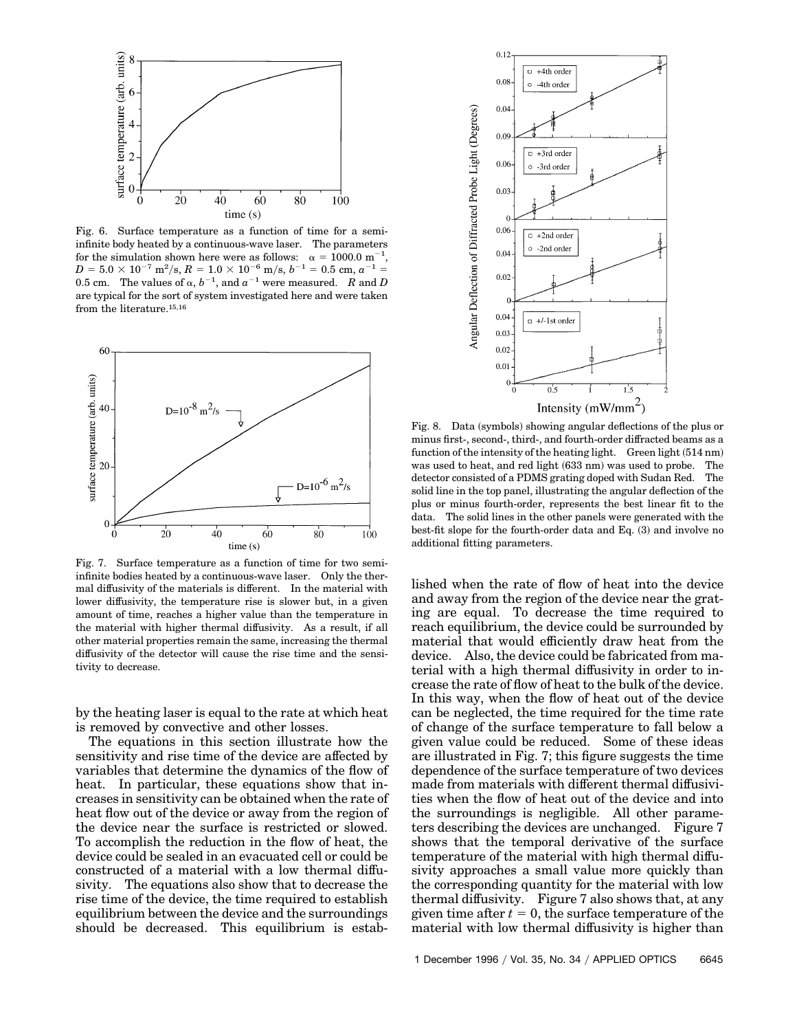

Fig. 6. Surface temperature as a function of time for a semiinfinite body heated by a continuous-wave laser. The parameters for the simulation shown here were as follows:  $\alpha = 1000.0 \text{ m}^{-1}$ ,  $D = 5.0 \times 10^{-7} \text{ m}^2/\text{s}, R = 1.0 \times 10^{-6} \text{ m/s}, b^{-1} = 0.5 \text{ cm}, a^{-1} =$ 0.5 cm. The values of  $\alpha$ ,  $b^{-1}$ , and  $a^{-1}$  were measured. *R* and *D* are typical for the sort of system investigated here and were taken from the literature.<sup>15,16</sup>



Fig. 7. Surface temperature as a function of time for two semiinfinite bodies heated by a continuous-wave laser. Only the thermal diffusivity of the materials is different. In the material with lower diffusivity, the temperature rise is slower but, in a given amount of time, reaches a higher value than the temperature in the material with higher thermal diffusivity. As a result, if all other material properties remain the same, increasing the thermal diffusivity of the detector will cause the rise time and the sensitivity to decrease.

by the heating laser is equal to the rate at which heat is removed by convective and other losses.

The equations in this section illustrate how the sensitivity and rise time of the device are affected by variables that determine the dynamics of the flow of heat. In particular, these equations show that increases in sensitivity can be obtained when the rate of heat flow out of the device or away from the region of the device near the surface is restricted or slowed. To accomplish the reduction in the flow of heat, the device could be sealed in an evacuated cell or could be constructed of a material with a low thermal diffusivity. The equations also show that to decrease the rise time of the device, the time required to establish equilibrium between the device and the surroundings should be decreased. This equilibrium is estab-



minus first-, second-, third-, and fourth-order diffracted beams as a function of the intensity of the heating light. Green light  $(514 \text{ nm})$ was used to heat, and red light (633 nm) was used to probe. The detector consisted of a PDMS grating doped with Sudan Red. The solid line in the top panel, illustrating the angular deflection of the plus or minus fourth-order, represents the best linear fit to the data. The solid lines in the other panels were generated with the best-fit slope for the fourth-order data and Eq.  $(3)$  and involve no additional fitting parameters.

lished when the rate of flow of heat into the device and away from the region of the device near the grating are equal. To decrease the time required to reach equilibrium, the device could be surrounded by material that would efficiently draw heat from the device. Also, the device could be fabricated from material with a high thermal diffusivity in order to increase the rate of flow of heat to the bulk of the device. In this way, when the flow of heat out of the device can be neglected, the time required for the time rate of change of the surface temperature to fall below a given value could be reduced. Some of these ideas are illustrated in Fig. 7; this figure suggests the time dependence of the surface temperature of two devices made from materials with different thermal diffusivities when the flow of heat out of the device and into the surroundings is negligible. All other parameters describing the devices are unchanged. Figure 7 shows that the temporal derivative of the surface temperature of the material with high thermal diffusivity approaches a small value more quickly than the corresponding quantity for the material with low thermal diffusivity. Figure 7 also shows that, at any given time after  $t = 0$ , the surface temperature of the material with low thermal diffusivity is higher than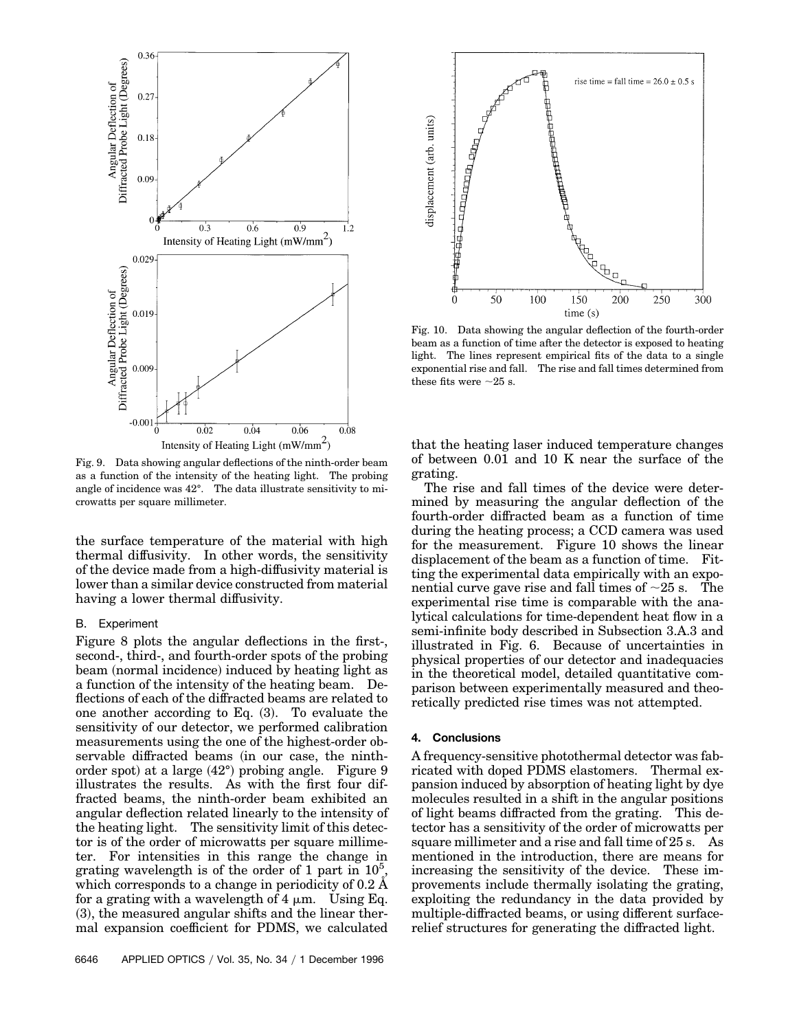

Fig. 9. Data showing angular deflections of the ninth-order beam as a function of the intensity of the heating light. The probing angle of incidence was 42°. The data illustrate sensitivity to microwatts per square millimeter.

the surface temperature of the material with high thermal diffusivity. In other words, the sensitivity of the device made from a high-diffusivity material is lower than a similar device constructed from material having a lower thermal diffusivity.

## B. Experiment

Figure 8 plots the angular deflections in the first-, second-, third-, and fourth-order spots of the probing beam (normal incidence) induced by heating light as a function of the intensity of the heating beam. Deflections of each of the diffracted beams are related to one another according to Eq.  $(3)$ . To evaluate the sensitivity of our detector, we performed calibration measurements using the one of the highest-order observable diffracted beams (in our case, the ninthorder spot) at a large  $(42^{\circ})$  probing angle. Figure 9 illustrates the results. As with the first four diffracted beams, the ninth-order beam exhibited an angular deflection related linearly to the intensity of the heating light. The sensitivity limit of this detector is of the order of microwatts per square millimeter. For intensities in this range the change in grating wavelength is of the order of 1 part in  $10^5$ , which corresponds to a change in periodicity of 0.2 Å for a grating with a wavelength of  $4 \mu m$ . Using Eq.  $(3)$ , the measured angular shifts and the linear thermal expansion coefficient for PDMS, we calculated



Fig. 10. Data showing the angular deflection of the fourth-order beam as a function of time after the detector is exposed to heating light. The lines represent empirical fits of the data to a single exponential rise and fall. The rise and fall times determined from these fits were  $\sim$ 25 s.

that the heating laser induced temperature changes of between 0.01 and 10 K near the surface of the grating.

The rise and fall times of the device were determined by measuring the angular deflection of the fourth-order diffracted beam as a function of time during the heating process; a CCD camera was used for the measurement. Figure 10 shows the linear displacement of the beam as a function of time. Fitting the experimental data empirically with an exponential curve gave rise and fall times of  $\sim$ 25 s. The experimental rise time is comparable with the analytical calculations for time-dependent heat flow in a semi-infinite body described in Subsection 3.A.3 and illustrated in Fig. 6. Because of uncertainties in physical properties of our detector and inadequacies in the theoretical model, detailed quantitative comparison between experimentally measured and theoretically predicted rise times was not attempted.

### **4. Conclusions**

A frequency-sensitive photothermal detector was fabricated with doped PDMS elastomers. Thermal expansion induced by absorption of heating light by dye molecules resulted in a shift in the angular positions of light beams diffracted from the grating. This detector has a sensitivity of the order of microwatts per square millimeter and a rise and fall time of 25 s. As mentioned in the introduction, there are means for increasing the sensitivity of the device. These improvements include thermally isolating the grating, exploiting the redundancy in the data provided by multiple-diffracted beams, or using different surfacerelief structures for generating the diffracted light.